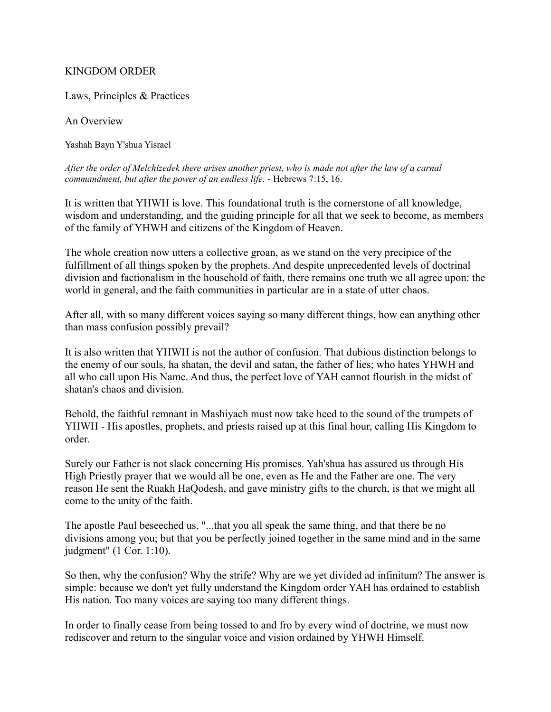### KINGDOM ORDER

Laws, Principles & Practices

An Overview

Yashah Bayn Y'shua Yisrael

*After the order of Melchizedek there arises another priest, who is made not after the law of a carnal commandment, but after the power of an endless life.* - Hebrews 7:15, 16.

It is written that YHWH is love. This foundational truth is the cornerstone of all knowledge, wisdom and understanding, and the guiding principle for all that we seek to become, as members of the family of YHWH and citizens of the Kingdom of Heaven.

The whole creation now utters a collective groan, as we stand on the very precipice of the fulfillment of all things spoken by the prophets. And despite unprecedented levels of doctrinal division and factionalism in the household of faith, there remains one truth we all agree upon: the world in general, and the faith communities in particular are in a state of utter chaos.

After all, with so many different voices saying so many different things, how can anything other than mass confusion possibly prevail?

It is also written that YHWH is not the author of confusion. That dubious distinction belongs to the enemy of our souls, ha shatan, the devil and satan, the father of lies; who hates YHWH and all who call upon His Name. And thus, the perfect love of YAH cannot flourish in the midst of shatan's chaos and division.

Behold, the faithful remnant in Mashiyach must now take heed to the sound of the trumpets of YHWH - His apostles, prophets, and priests raised up at this final hour, calling His Kingdom to order.

Surely our Father is not slack concerning His promises. Yah'shua has assured us through His High Priestly prayer that we would all be one, even as He and the Father are one. The very reason He sent the Ruakh HaQodesh, and gave ministry gifts to the church, is that we might all come to the unity of the faith.

The apostle Paul beseeched us, "...that you all speak the same thing, and that there be no divisions among you; but that you be perfectly joined together in the same mind and in the same judgment" (1 Cor. 1:10).

So then, why the confusion? Why the strife? Why are we yet divided ad infinitum? The answer is simple: because we don't yet fully understand the Kingdom order YAH has ordained to establish His nation. Too many voices are saying too many different things.

In order to finally cease from being tossed to and fro by every wind of doctrine, we must now rediscover and return to the singular voice and vision ordained by YHWH Himself.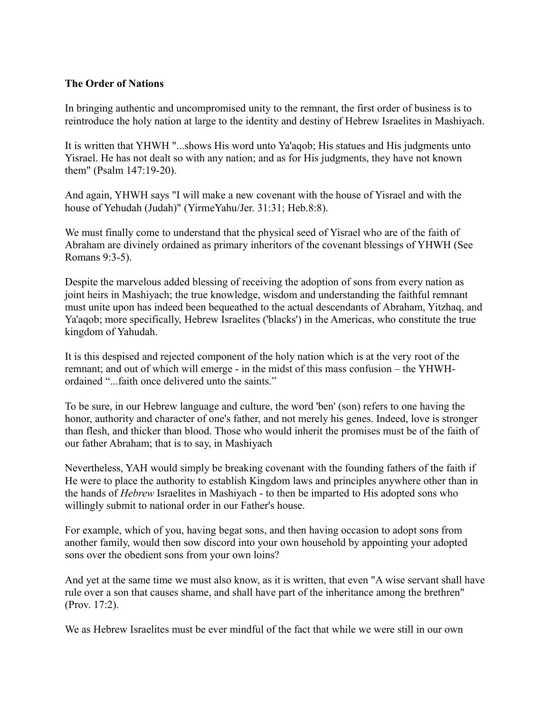### **The Order of Nations**

In bringing authentic and uncompromised unity to the remnant, the first order of business is to reintroduce the holy nation at large to the identity and destiny of Hebrew Israelites in Mashiyach.

It is written that YHWH "...shows His word unto Ya'aqob; His statues and His judgments unto Yisrael. He has not dealt so with any nation; and as for His judgments, they have not known them" (Psalm 147:19-20).

And again, YHWH says "I will make a new covenant with the house of Yisrael and with the house of Yehudah (Judah)" (YirmeYahu/Jer. 31:31; Heb.8:8).

We must finally come to understand that the physical seed of Yisrael who are of the faith of Abraham are divinely ordained as primary inheritors of the covenant blessings of YHWH (See Romans 9:3-5).

Despite the marvelous added blessing of receiving the adoption of sons from every nation as joint heirs in Mashiyach; the true knowledge, wisdom and understanding the faithful remnant must unite upon has indeed been bequeathed to the actual descendants of Abraham, Yitzhaq, and Ya'aqob; more specifically, Hebrew Israelites ('blacks') in the Americas, who constitute the true kingdom of Yahudah.

It is this despised and rejected component of the holy nation which is at the very root of the remnant; and out of which will emerge - in the midst of this mass confusion – the YHWHordained "...faith once delivered unto the saints."

To be sure, in our Hebrew language and culture, the word 'ben' (son) refers to one having the honor, authority and character of one's father, and not merely his genes. Indeed, love is stronger than flesh, and thicker than blood. Those who would inherit the promises must be of the faith of our father Abraham; that is to say, in Mashiyach

Nevertheless, YAH would simply be breaking covenant with the founding fathers of the faith if He were to place the authority to establish Kingdom laws and principles anywhere other than in the hands of *Hebrew* Israelites in Mashiyach - to then be imparted to His adopted sons who willingly submit to national order in our Father's house.

For example, which of you, having begat sons, and then having occasion to adopt sons from another family, would then sow discord into your own household by appointing your adopted sons over the obedient sons from your own loins?

And yet at the same time we must also know, as it is written, that even "A wise servant shall have rule over a son that causes shame, and shall have part of the inheritance among the brethren" (Prov. 17:2).

We as Hebrew Israelites must be ever mindful of the fact that while we were still in our own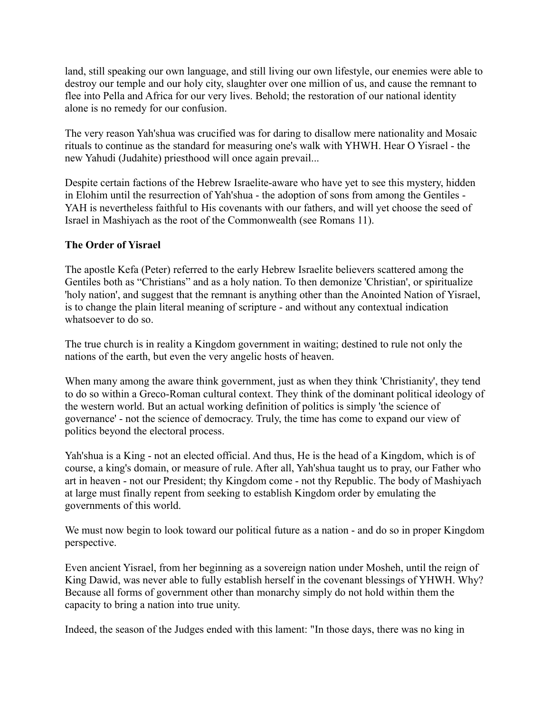land, still speaking our own language, and still living our own lifestyle, our enemies were able to destroy our temple and our holy city, slaughter over one million of us, and cause the remnant to flee into Pella and Africa for our very lives. Behold; the restoration of our national identity alone is no remedy for our confusion.

The very reason Yah'shua was crucified was for daring to disallow mere nationality and Mosaic rituals to continue as the standard for measuring one's walk with YHWH. Hear O Yisrael - the new Yahudi (Judahite) priesthood will once again prevail...

Despite certain factions of the Hebrew Israelite-aware who have yet to see this mystery, hidden in Elohim until the resurrection of Yah'shua - the adoption of sons from among the Gentiles - YAH is nevertheless faithful to His covenants with our fathers, and will yet choose the seed of Israel in Mashiyach as the root of the Commonwealth (see Romans 11).

### **The Order of Yisrael**

The apostle Kefa (Peter) referred to the early Hebrew Israelite believers scattered among the Gentiles both as "Christians" and as a holy nation. To then demonize 'Christian', or spiritualize 'holy nation', and suggest that the remnant is anything other than the Anointed Nation of Yisrael, is to change the plain literal meaning of scripture - and without any contextual indication whatsoever to do so.

The true church is in reality a Kingdom government in waiting; destined to rule not only the nations of the earth, but even the very angelic hosts of heaven.

When many among the aware think government, just as when they think 'Christianity', they tend to do so within a Greco-Roman cultural context. They think of the dominant political ideology of the western world. But an actual working definition of politics is simply 'the science of governance' - not the science of democracy. Truly, the time has come to expand our view of politics beyond the electoral process.

Yah'shua is a King - not an elected official. And thus, He is the head of a Kingdom, which is of course, a king's domain, or measure of rule. After all, Yah'shua taught us to pray, our Father who art in heaven - not our President; thy Kingdom come - not thy Republic. The body of Mashiyach at large must finally repent from seeking to establish Kingdom order by emulating the governments of this world.

We must now begin to look toward our political future as a nation - and do so in proper Kingdom perspective.

Even ancient Yisrael, from her beginning as a sovereign nation under Mosheh, until the reign of King Dawid, was never able to fully establish herself in the covenant blessings of YHWH. Why? Because all forms of government other than monarchy simply do not hold within them the capacity to bring a nation into true unity.

Indeed, the season of the Judges ended with this lament: "In those days, there was no king in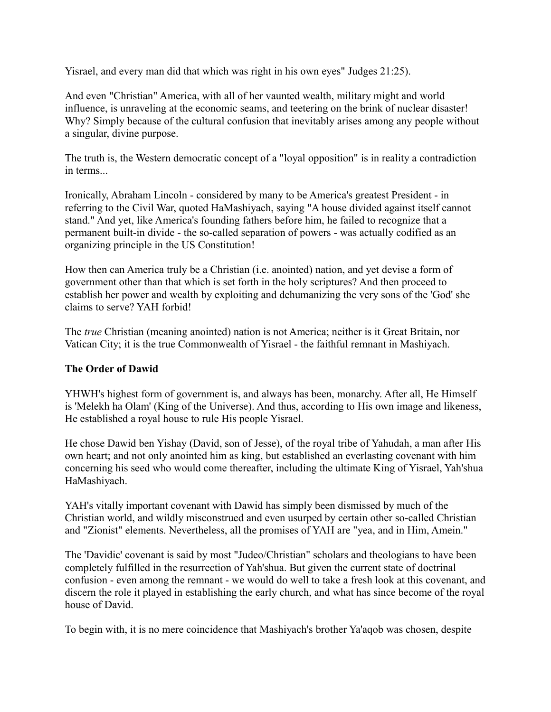Yisrael, and every man did that which was right in his own eyes" Judges 21:25).

And even "Christian" America, with all of her vaunted wealth, military might and world influence, is unraveling at the economic seams, and teetering on the brink of nuclear disaster! Why? Simply because of the cultural confusion that inevitably arises among any people without a singular, divine purpose.

The truth is, the Western democratic concept of a "loyal opposition" is in reality a contradiction in terms.

Ironically, Abraham Lincoln - considered by many to be America's greatest President - in referring to the Civil War, quoted HaMashiyach, saying "A house divided against itself cannot stand." And yet, like America's founding fathers before him, he failed to recognize that a permanent built-in divide - the so-called separation of powers - was actually codified as an organizing principle in the US Constitution!

How then can America truly be a Christian (i.e. anointed) nation, and yet devise a form of government other than that which is set forth in the holy scriptures? And then proceed to establish her power and wealth by exploiting and dehumanizing the very sons of the 'God' she claims to serve? YAH forbid!

The *true* Christian (meaning anointed) nation is not America; neither is it Great Britain, nor Vatican City; it is the true Commonwealth of Yisrael - the faithful remnant in Mashiyach.

# **The Order of Dawid**

YHWH's highest form of government is, and always has been, monarchy. After all, He Himself is 'Melekh ha Olam' (King of the Universe). And thus, according to His own image and likeness, He established a royal house to rule His people Yisrael.

He chose Dawid ben Yishay (David, son of Jesse), of the royal tribe of Yahudah, a man after His own heart; and not only anointed him as king, but established an everlasting covenant with him concerning his seed who would come thereafter, including the ultimate King of Yisrael, Yah'shua HaMashiyach.

YAH's vitally important covenant with Dawid has simply been dismissed by much of the Christian world, and wildly misconstrued and even usurped by certain other so-called Christian and "Zionist" elements. Nevertheless, all the promises of YAH are "yea, and in Him, Amein."

The 'Davidic' covenant is said by most "Judeo/Christian" scholars and theologians to have been completely fulfilled in the resurrection of Yah'shua. But given the current state of doctrinal confusion - even among the remnant - we would do well to take a fresh look at this covenant, and discern the role it played in establishing the early church, and what has since become of the royal house of David.

To begin with, it is no mere coincidence that Mashiyach's brother Ya'aqob was chosen, despite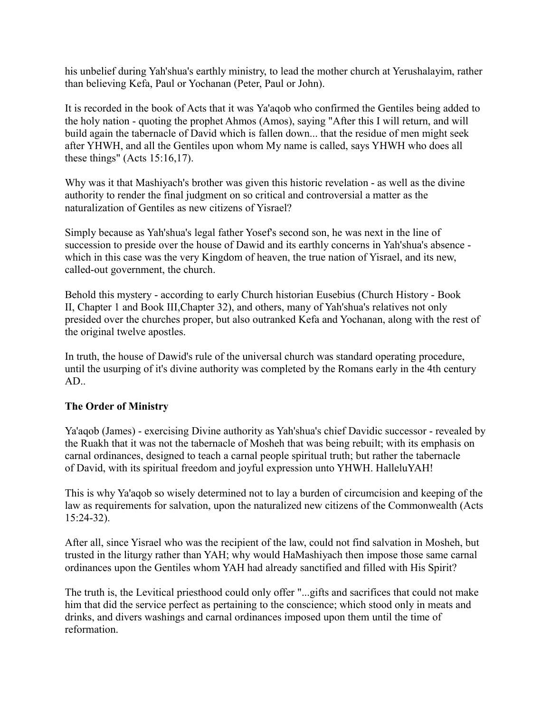his unbelief during Yah'shua's earthly ministry, to lead the mother church at Yerushalayim, rather than believing Kefa, Paul or Yochanan (Peter, Paul or John).

It is recorded in the book of Acts that it was Ya'aqob who confirmed the Gentiles being added to the holy nation - quoting the prophet Ahmos (Amos), saying "After this I will return, and will build again the tabernacle of David which is fallen down... that the residue of men might seek after YHWH, and all the Gentiles upon whom My name is called, says YHWH who does all these things" (Acts 15:16,17).

Why was it that Mashiyach's brother was given this historic revelation - as well as the divine authority to render the final judgment on so critical and controversial a matter as the naturalization of Gentiles as new citizens of Yisrael?

Simply because as Yah'shua's legal father Yosef's second son, he was next in the line of succession to preside over the house of Dawid and its earthly concerns in Yah'shua's absence which in this case was the very Kingdom of heaven, the true nation of Yisrael, and its new, called-out government, the church.

Behold this mystery - according to early Church historian Eusebius (Church History - Book II, Chapter 1 and Book III,Chapter 32), and others, many of Yah'shua's relatives not only presided over the churches proper, but also outranked Kefa and Yochanan, along with the rest of the original twelve apostles.

In truth, the house of Dawid's rule of the universal church was standard operating procedure, until the usurping of it's divine authority was completed by the Romans early in the 4th century AD..

# **The Order of Ministry**

Ya'aqob (James) - exercising Divine authority as Yah'shua's chief Davidic successor - revealed by the Ruakh that it was not the tabernacle of Mosheh that was being rebuilt; with its emphasis on carnal ordinances, designed to teach a carnal people spiritual truth; but rather the tabernacle of David, with its spiritual freedom and joyful expression unto YHWH. HalleluYAH!

This is why Ya'aqob so wisely determined not to lay a burden of circumcision and keeping of the law as requirements for salvation, upon the naturalized new citizens of the Commonwealth (Acts 15:24-32).

After all, since Yisrael who was the recipient of the law, could not find salvation in Mosheh, but trusted in the liturgy rather than YAH; why would HaMashiyach then impose those same carnal ordinances upon the Gentiles whom YAH had already sanctified and filled with His Spirit?

The truth is, the Levitical priesthood could only offer "...gifts and sacrifices that could not make him that did the service perfect as pertaining to the conscience; which stood only in meats and drinks, and divers washings and carnal ordinances imposed upon them until the time of reformation.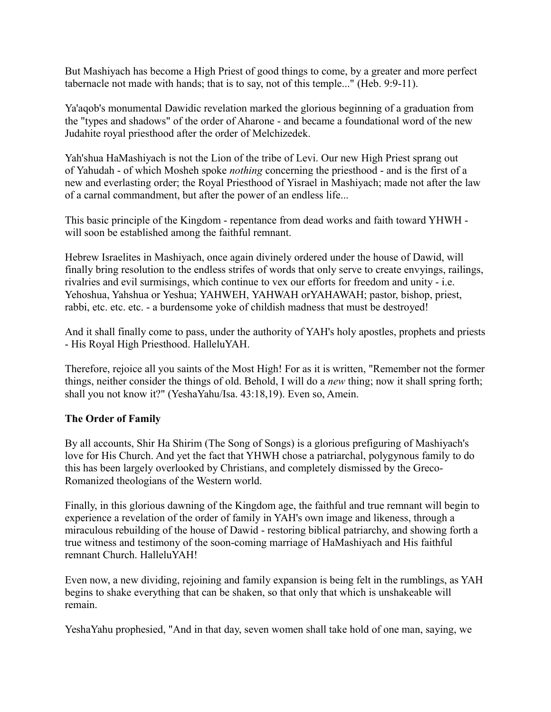But Mashiyach has become a High Priest of good things to come, by a greater and more perfect tabernacle not made with hands; that is to say, not of this temple..." (Heb. 9:9-11).

Ya'aqob's monumental Dawidic revelation marked the glorious beginning of a graduation from the "types and shadows" of the order of Aharone - and became a foundational word of the new Judahite royal priesthood after the order of Melchizedek.

Yah'shua HaMashiyach is not the Lion of the tribe of Levi. Our new High Priest sprang out of Yahudah - of which Mosheh spoke *nothing* concerning the priesthood - and is the first of a new and everlasting order; the Royal Priesthood of Yisrael in Mashiyach; made not after the law of a carnal commandment, but after the power of an endless life...

This basic principle of the Kingdom - repentance from dead works and faith toward YHWH will soon be established among the faithful remnant.

Hebrew Israelites in Mashiyach, once again divinely ordered under the house of Dawid, will finally bring resolution to the endless strifes of words that only serve to create envyings, railings, rivalries and evil surmisings, which continue to vex our efforts for freedom and unity - i.e. Yehoshua, Yahshua or Yeshua; YAHWEH, YAHWAH orYAHAWAH; pastor, bishop, priest, rabbi, etc. etc. etc. - a burdensome yoke of childish madness that must be destroyed!

And it shall finally come to pass, under the authority of YAH's holy apostles, prophets and priests - His Royal High Priesthood. HalleluYAH.

Therefore, rejoice all you saints of the Most High! For as it is written, "Remember not the former things, neither consider the things of old. Behold, I will do a *new* thing; now it shall spring forth; shall you not know it?" (YeshaYahu/Isa. 43:18,19). Even so, Amein.

# **The Order of Family**

By all accounts, Shir Ha Shirim (The Song of Songs) is a glorious prefiguring of Mashiyach's love for His Church. And yet the fact that YHWH chose a patriarchal, polygynous family to do this has been largely overlooked by Christians, and completely dismissed by the Greco-Romanized theologians of the Western world.

Finally, in this glorious dawning of the Kingdom age, the faithful and true remnant will begin to experience a revelation of the order of family in YAH's own image and likeness, through a miraculous rebuilding of the house of Dawid - restoring biblical patriarchy, and showing forth a true witness and testimony of the soon-coming marriage of HaMashiyach and His faithful remnant Church. HalleluYAH!

Even now, a new dividing, rejoining and family expansion is being felt in the rumblings, as YAH begins to shake everything that can be shaken, so that only that which is unshakeable will remain.

YeshaYahu prophesied, "And in that day, seven women shall take hold of one man, saying, we